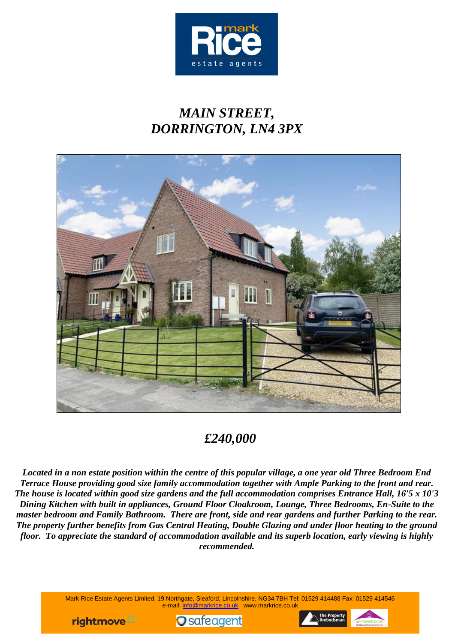

# *MAIN STREET, DORRINGTON, LN4 3PX*



## *£240,000*

*Located in a non estate position within the centre of this popular village, a one year old Three Bedroom End Terrace House providing good size family accommodation together with Ample Parking to the front and rear. The house is located within good size gardens and the full accommodation comprises Entrance Hall, 16'5 x 10'3 Dining Kitchen with built in appliances, Ground Floor Cloakroom, Lounge, Three Bedrooms, En-Suite to the master bedroom and Family Bathroom. There are front, side and rear gardens and further Parking to the rear. The property further benefits from Gas Central Heating, Double Glazing and under floor heating to the ground floor. To appreciate the standard of accommodation available and its superb location, early viewing is highly recommended.*

> Mark Rice Estate Agents Limited, 19 Northgate, Sleaford, Lincolnshire, NG34 7BH Tel: 01529 414488 Fax: 01529 414546 e-mail: info@markrice.co.uk www.markrice.co.uk





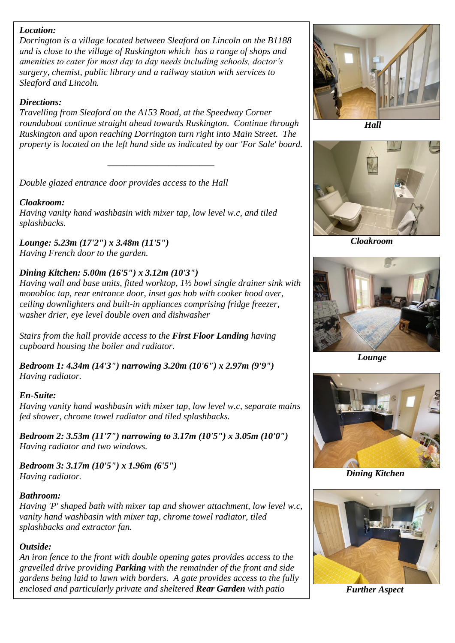#### *Location:*

*Dorrington is a village located between Sleaford on Lincoln on the B1188 and is close to the village of Ruskington which has a range of shops and amenities to cater for most day to day needs including schools, doctor's surgery, chemist, public library and a railway station with services to Sleaford and Lincoln.*

#### *Directions:*

*Travelling from Sleaford on the A153 Road, at the Speedway Corner roundabout continue straight ahead towards Ruskington. Continue through Ruskington and upon reaching Dorrington turn right into Main Street. The property is located on the left hand side as indicated by our 'For Sale' board.*

*\_\_\_\_\_\_\_\_\_\_\_\_\_\_\_\_\_\_\_\_\_\_\_\_\_\_\_\_*

*Double glazed entrance door provides access to the Hall*

#### *Cloakroom:*

*Having vanity hand washbasin with mixer tap, low level w.c, and tiled splashbacks.*

*Lounge: 5.23m (17'2") x 3.48m (11'5") Having French door to the garden.*

#### *Dining Kitchen: 5.00m (16'5") x 3.12m (10'3")*

*Having wall and base units, fitted worktop, 1½ bowl single drainer sink with monobloc tap, rear entrance door, inset gas hob with cooker hood over, ceiling downlighters and built-in appliances comprising fridge freezer, washer drier, eye level double oven and dishwasher*

*Stairs from the hall provide access to the First Floor Landing having cupboard housing the boiler and radiator.*

*Bedroom 1: 4.34m (14'3") narrowing 3.20m (10'6") x 2.97m (9'9") Having radiator.*

#### *En-Suite:*

*Having vanity hand washbasin with mixer tap, low level w.c, separate mains fed shower, chrome towel radiator and tiled splashbacks.*

*Bedroom 2: 3.53m (11'7") narrowing to 3.17m (10'5") x 3.05m (10'0") Having radiator and two windows.*

*Bedroom 3: 3.17m (10'5") x 1.96m (6'5") Having radiator.*

#### *Bathroom:*

*Having 'P' shaped bath with mixer tap and shower attachment, low level w.c, vanity hand washbasin with mixer tap, chrome towel radiator, tiled splashbacks and extractor fan.*

#### *Outside:*

*An iron fence to the front with double opening gates provides access to the gravelled drive providing Parking with the remainder of the front and side gardens being laid to lawn with borders. A gate provides access to the fully enclosed and particularly private and sheltered Rear Garden with patio* 



 *Hall*



*Cloakroom*



 *Lounge*



*Dining Kitchen*



*Further Aspect*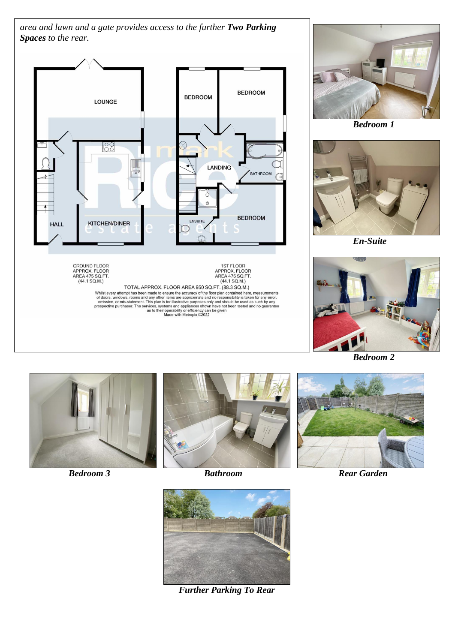*area and lawn and a gate provides access to the further Two Parking Spaces to the rear.*







 *Bedroom 1*



 *En-Suite*



 *Bedroom 2*







*Further Parking To Rear*



*Bedroom 3* **Bathroom Bathroom Rear Garden**